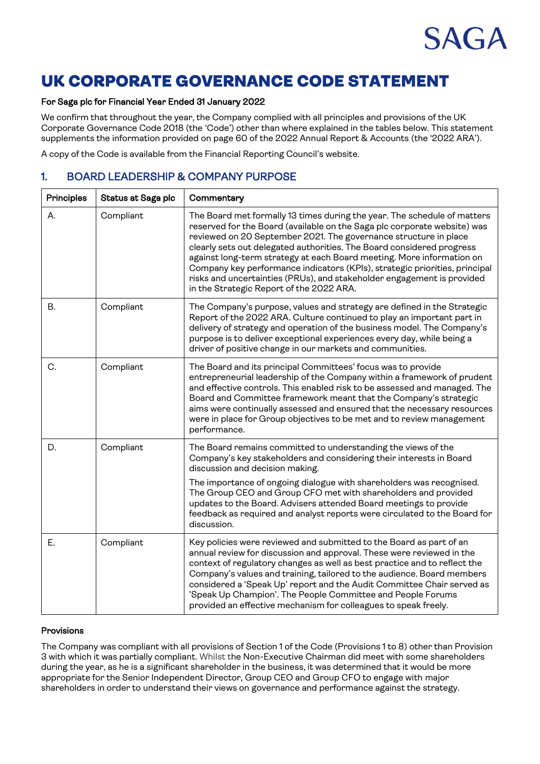

# UK CORPORATE GOVERNANCE CODE STATEMENT

#### For Saga plc for Financial Year Ended 31 January 2022

We confirm that throughout the year, the Company complied with all principles and provisions of the UK Corporate Governance Code 2018 (the 'Code') other than where explained in the tables below. This statement supplements the information provided on page 60 of the 2022 Annual Report & Accounts (the '2022 ARA').

A copy of the Code is available from the Financial Reporting Council's website.

### 1. BOARD LEADERSHIP & COMPANY PURPOSE

| Principles | Status at Saga plc | Commentary                                                                                                                                                                                                                                                                                                                                                                                                                                                                                                                                                                     |
|------------|--------------------|--------------------------------------------------------------------------------------------------------------------------------------------------------------------------------------------------------------------------------------------------------------------------------------------------------------------------------------------------------------------------------------------------------------------------------------------------------------------------------------------------------------------------------------------------------------------------------|
| Α.         | Compliant          | The Board met formally 13 times during the year. The schedule of matters<br>reserved for the Board (available on the Saga plc corporate website) was<br>reviewed on 20 September 2021. The governance structure in place<br>clearly sets out delegated authorities. The Board considered progress<br>against long-term strategy at each Board meeting. More information on<br>Company key performance indicators (KPIs), strategic priorities, principal<br>risks and uncertainties (PRUs), and stakeholder engagement is provided<br>in the Strategic Report of the 2022 ARA. |
| В.         | Compliant          | The Company's purpose, values and strategy are defined in the Strategic<br>Report of the 2022 ARA. Culture continued to play an important part in<br>delivery of strategy and operation of the business model. The Company's<br>purpose is to deliver exceptional experiences every day, while being a<br>driver of positive change in our markets and communities.                                                                                                                                                                                                            |
| C.         | Compliant          | The Board and its principal Committees' focus was to provide<br>entrepreneurial leadership of the Company within a framework of prudent<br>and effective controls. This enabled risk to be assessed and managed. The<br>Board and Committee framework meant that the Company's strategic<br>aims were continually assessed and ensured that the necessary resources<br>were in place for Group objectives to be met and to review management<br>performance.                                                                                                                   |
| D.         | Compliant          | The Board remains committed to understanding the views of the<br>Company's key stakeholders and considering their interests in Board<br>discussion and decision making.<br>The importance of ongoing dialogue with shareholders was recognised.<br>The Group CEO and Group CFO met with shareholders and provided<br>updates to the Board. Advisers attended Board meetings to provide<br>feedback as required and analyst reports were circulated to the Board for<br>discussion.                                                                                             |
| Ε.         | Compliant          | Key policies were reviewed and submitted to the Board as part of an<br>annual review for discussion and approval. These were reviewed in the<br>context of regulatory changes as well as best practice and to reflect the<br>Company's values and training, tailored to the audience. Board members<br>considered a 'Speak Up' report and the Audit Committee Chair served as<br>'Speak Up Champion'. The People Committee and People Forums<br>provided an effective mechanism for colleagues to speak freely.                                                                |

#### Provisions

The Company was compliant with all provisions of Section 1 of the Code (Provisions 1 to 8) other than Provision 3 with which it was partially compliant. Whilst the Non-Executive Chairman did meet with some shareholders during the year, as he is a significant shareholder in the business, it was determined that it would be more appropriate for the Senior Independent Director, Group CEO and Group CFO to engage with major shareholders in order to understand their views on governance and performance against the strategy.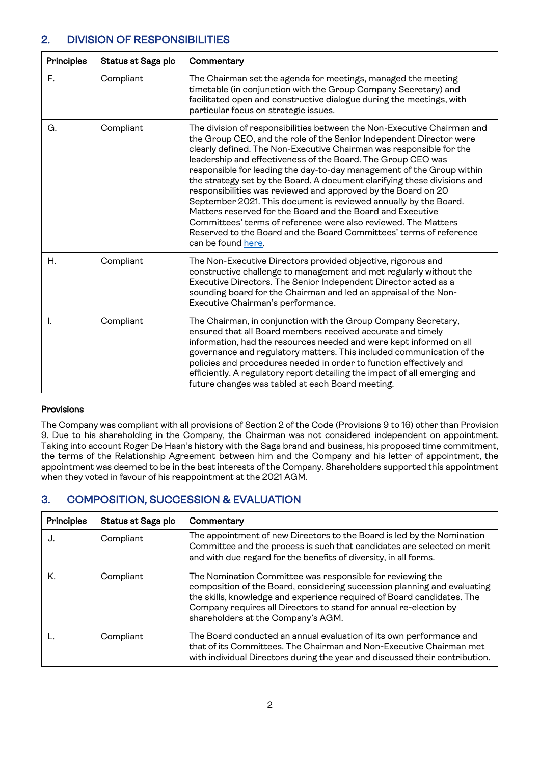### 2. DIVISION OF RESPONSIBILITIES

| <b>Principles</b> | <b>Status at Saga plc</b> | Commentary                                                                                                                                                                                                                                                                                                                                                                                                                                                                                                                                                                                                                                                                                                                                                                                                  |
|-------------------|---------------------------|-------------------------------------------------------------------------------------------------------------------------------------------------------------------------------------------------------------------------------------------------------------------------------------------------------------------------------------------------------------------------------------------------------------------------------------------------------------------------------------------------------------------------------------------------------------------------------------------------------------------------------------------------------------------------------------------------------------------------------------------------------------------------------------------------------------|
| F.                | Compliant                 | The Chairman set the agenda for meetings, managed the meeting<br>timetable (in conjunction with the Group Company Secretary) and<br>facilitated open and constructive dialogue during the meetings, with<br>particular focus on strategic issues.                                                                                                                                                                                                                                                                                                                                                                                                                                                                                                                                                           |
| G.                | Compliant                 | The division of responsibilities between the Non-Executive Chairman and<br>the Group CEO, and the role of the Senior Independent Director were<br>clearly defined. The Non-Executive Chairman was responsible for the<br>leadership and effectiveness of the Board. The Group CEO was<br>responsible for leading the day-to-day management of the Group within<br>the strategy set by the Board. A document clarifying these divisions and<br>responsibilities was reviewed and approved by the Board on 20<br>September 2021. This document is reviewed annually by the Board.<br>Matters reserved for the Board and the Board and Executive<br>Committees' terms of reference were also reviewed. The Matters<br>Reserved to the Board and the Board Committees' terms of reference<br>can be found here. |
| Η.                | Compliant                 | The Non-Executive Directors provided objective, rigorous and<br>constructive challenge to management and met regularly without the<br>Executive Directors. The Senior Independent Director acted as a<br>sounding board for the Chairman and led an appraisal of the Non-<br>Executive Chairman's performance.                                                                                                                                                                                                                                                                                                                                                                                                                                                                                              |
| L.                | Compliant                 | The Chairman, in conjunction with the Group Company Secretary,<br>ensured that all Board members received accurate and timely<br>information, had the resources needed and were kept informed on all<br>governance and regulatory matters. This included communication of the<br>policies and procedures needed in order to function effectively and<br>efficiently. A regulatory report detailing the impact of all emerging and<br>future changes was tabled at each Board meeting.                                                                                                                                                                                                                                                                                                                       |

### Provisions

The Company was compliant with all provisions of Section 2 of the Code (Provisions 9 to 16) other than Provision 9. Due to his shareholding in the Company, the Chairman was not considered independent on appointment. Taking into account Roger De Haan's history with the Saga brand and business, his proposed time commitment, the terms of the Relationship Agreement between him and the Company and his letter of appointment, the appointment was deemed to be in the best interests of the Company. Shareholders supported this appointment when they voted in favour of his reappointment at the 2021 AGM.

### 3. COMPOSITION, SUCCESSION & EVALUATION

| <b>Principles</b> | Status at Saga plc | Commentary                                                                                                                                                                                                                                                                                                                  |
|-------------------|--------------------|-----------------------------------------------------------------------------------------------------------------------------------------------------------------------------------------------------------------------------------------------------------------------------------------------------------------------------|
| J.                | Compliant          | The appointment of new Directors to the Board is led by the Nomination<br>Committee and the process is such that candidates are selected on merit<br>and with due regard for the benefits of diversity, in all forms.                                                                                                       |
| Κ.                | Compliant          | The Nomination Committee was responsible for reviewing the<br>composition of the Board, considering succession planning and evaluating<br>the skills, knowledge and experience required of Board candidates. The<br>Company requires all Directors to stand for annual re-election by<br>shareholders at the Company's AGM. |
|                   | Compliant          | The Board conducted an annual evaluation of its own performance and<br>that of its Committees. The Chairman and Non-Executive Chairman met<br>with individual Directors during the year and discussed their contribution.                                                                                                   |